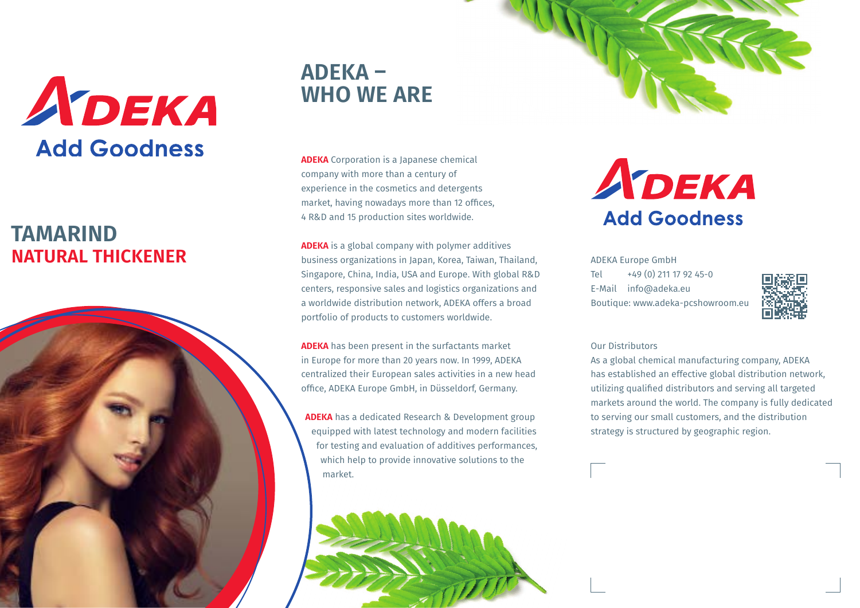

## **NATURAL THICKENER TAMARIND**



# **ADEKA – WHO WE ARE**

**ADEKA** Corporation is a Japanese chemical company with more than a century of experience in the cosmetics and detergents market, having nowadays more than 12 offices, 4 R&D and 15 production sites worldwide.

**ADEKA** is a global company with polymer additives business organizations in Japan, Korea, Taiwan, Thailand, Singapore, China, India, USA and Europe. With global R&D centers, responsive sales and logistics organizations and a worldwide distribution network, ADEKA offers a broad portfolio of products to customers worldwide.

**ADEKA** has been present in the surfactants market in Europe for more than 20 years now. In 1999, ADEKA centralized their European sales activities in a new head office, ADEKA Europe GmbH, in Düsseldorf, Germany.

**ADEKA** has a dedicated Research & Development group equipped with latest technology and modern facilities for testing and evaluation of additives performances, which help to provide innovative solutions to the market.





ADEKA Europe GmbH Tel +49 (0) 211 17 92 45-0 E-Mail info@adeka.eu Boutique: www.adeka-pcshowroom.eu



#### Our Distributors

As a global chemical manufacturing company, ADEKA has established an effective global distribution network, utilizing qualified distributors and serving all targeted markets around the world. The company is fully dedicated to serving our small customers, and the distribution strategy is structured by geographic region.